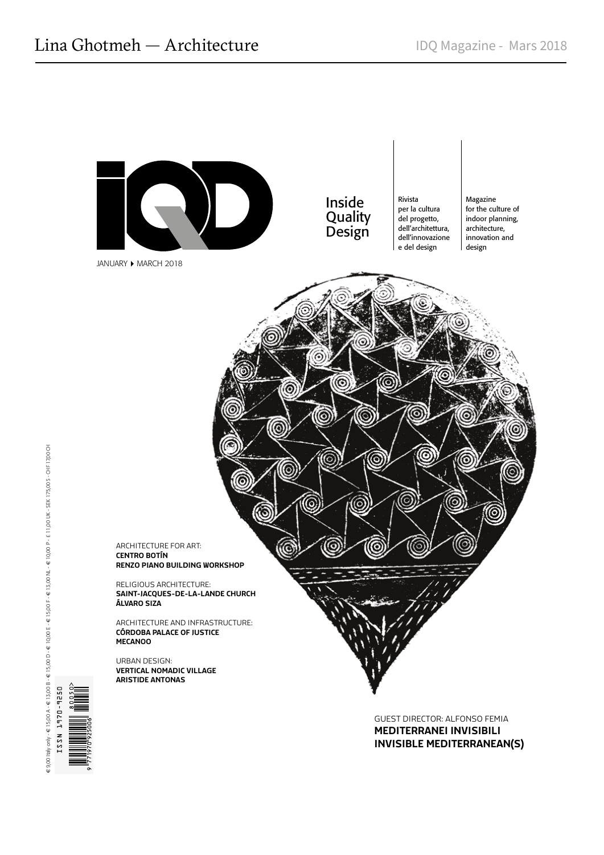